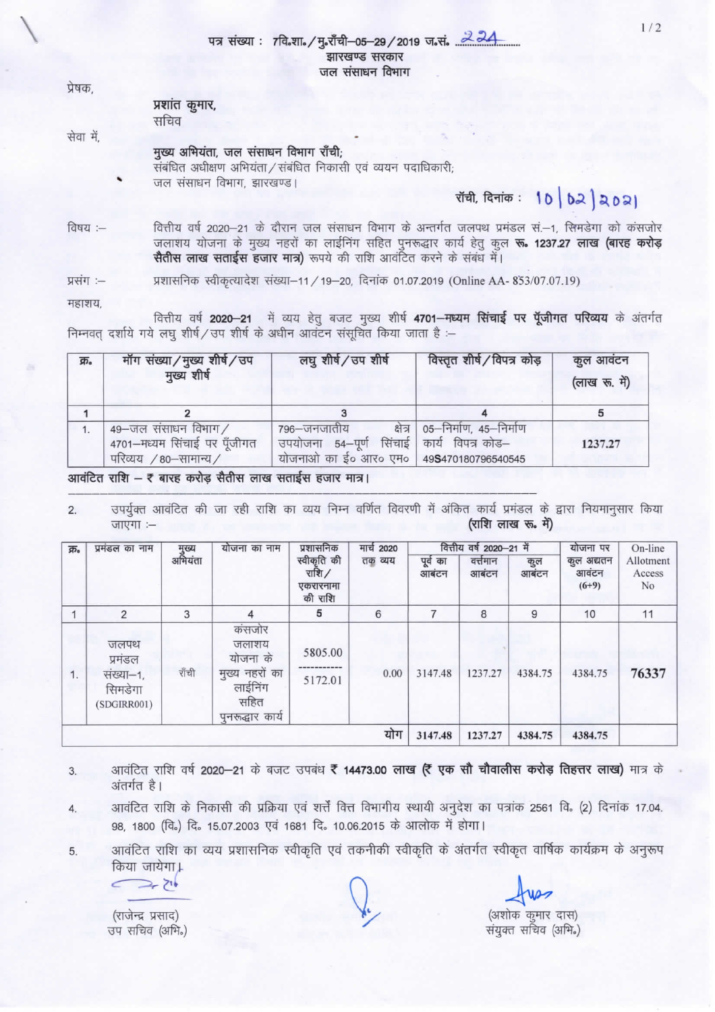## पत्र संख्या : 7वि.शा./मु.राँची-05-29/2019 ज.सं. 224 झारखण्ड सरकार जल संसाधन विभाग

| ячч,      | प्रशांत कुमार,<br>सचिव                                        |  |
|-----------|---------------------------------------------------------------|--|
| सेवा में, | मुख्य अभियंता, जल संसाधन विभाग राँची;                         |  |
|           | संबंधित अधीक्षण अभियंता / संबंधित निकासी एवं व्ययन पदाधिकारी; |  |
|           | जल संसाधन विभाग, झारखण्ड।                                     |  |

रॉची, दिनांक: 10 | 02 | 2021

विषय :-वित्तीय वर्ष 2020–21 के दौरान जल संसाधन विभाग के अन्तर्गत जलपथ प्रमंडल सं.–1, सिमडेगा को कंसजोर जलाशय योजना के मुख्य नहरों का लाईनिंग सहित पुनरूद्धार कार्य हेतु कुल रू. 1237.27 लाख (बारह करोड़ सैतीस लाख सताईस हजार मात्र) रूपये की राशि आवंटित करने के संबंध में।

प्रशासनिक स्वीकृत्यादेश संख्या-11 / 19-20, दिनांक 01.07.2019 (Online AA- 853/07.07.19) प्रसंग :-

महाशय,

 $n =$ 

वित्तीय वर्ष 2020-21 में व्यय हेतु बजट मुख्य शीर्ष 4701-मध्यम सिंचाई पर पूँजीगत परिव्यय के अंतर्गत निम्नवत् दर्शाये गये लघु शीर्ष/उप शीर्ष के अधीन आवंटन संसूचित किया जाता है :-

| क्र. | मॉग संख्या/मुख्य शीर्ष/उप<br>मुख्य शीर्ष                                     | लघु शीर्ष/उप शीर्ष                                                          | विस्तृत शीर्ष / विपत्र कोड़                                  | कुल आवंटन<br>(लाख रू. में) |
|------|------------------------------------------------------------------------------|-----------------------------------------------------------------------------|--------------------------------------------------------------|----------------------------|
|      |                                                                              |                                                                             |                                                              |                            |
|      | 49-जल संसाधन विभाग/<br>4701-मध्यम सिंचाई पर पूँजीगत<br>परिव्यय / 80-सामान्य/ | 796—जनजातीय<br>उपयोजना 54-पूर्ण<br>योजनाओं का ई0 आर0 एम0 49S470180796540545 | क्षेत्र   05–निर्माण, 45–निर्माण<br>सिंचाई कार्य विपत्र कोड– | 1237.27                    |

आवंटित राशि – ₹ बारह करोड़ सैतीस लाख सताईस हजार मात्र।

उपर्युक्त आवंटित की जा रही राशि का व्यय निम्न वर्णित विवरणी में अंकित कार्य प्रमंडल के द्वारा नियमानुसार किया  $2.$ (राशि लाख रू. में) जाएगा :-

| क्र. | प्रमंडल का नाम                                         | मुख्य<br>अभियंता | योजना का नाम                                                                         | प्रशासनिक<br>स्वीकृति की<br>राशि $/$<br>एकरारनामा<br>की राशि | मार्च 2020<br>तक व्यय | पूर्व का<br>आबंटन | वित्तीय वर्ष 2020-21 में<br>वर्त्तमान<br>आबंटन | कुल<br>आबंटन | योजना पर<br>कुल अद्यतन<br>आवंटन<br>$(6+9)$ | On-line<br>Allotment<br>Access<br>No |
|------|--------------------------------------------------------|------------------|--------------------------------------------------------------------------------------|--------------------------------------------------------------|-----------------------|-------------------|------------------------------------------------|--------------|--------------------------------------------|--------------------------------------|
|      | 2                                                      | 3                | 4                                                                                    | 5                                                            | 6                     |                   | 8                                              | 9            | 10                                         | 11                                   |
| 1.   | जलपथ<br>प्रमंडल<br>संख्या-1,<br>सिमडेगा<br>(SDGIRR001) | राँची            | कंसजोर<br>जलाशय<br>योजना के<br>मुख्य नहरों का<br>लाईनिंग<br>सहित<br>पुनरूद्धार कार्य | 5805.00<br>5172.01                                           | 0.00                  | 3147.48           | 1237.27                                        | 4384.75      | 4384.75                                    | 76337                                |
|      |                                                        |                  |                                                                                      |                                                              | योग                   | 3147.48           | 1237.27                                        | 4384.75      | 4384.75                                    |                                      |

- आवंटित राशि वर्ष 2020-21 के बजट उपबंध ₹ 14473.00 लाख (₹ एक सौ चौवालीस करोड़ तिहत्तर लाख) मात्र के 3. अंतर्गत है।
- आवंटित राशि के निकासी की प्रक्रिया एवं शर्त्तें वित्त विभागीय स्थायी अनुदेश का पत्रांक 2561 वि. (2) दिनांक 17.04. 4. 98, 1800 (वि.) दि. 15.07.2003 एवं 1681 दि. 10.06.2015 के आलोक में होगा।

आवंटित राशि का व्यय प्रशासनिक स्वीकृति एवं तकनीकी स्वीकृति के अंतर्गत स्वीकृत वार्षिक कार्यक्रम के अनुरूप 5. किया जायेगा।

 $\mathbb{Z}$ 

(राजेन्द्र प्रसाद) उप सचिव (अभि.)

(अशोक कुमार दास) संयुक्त सचिव (अभि.)